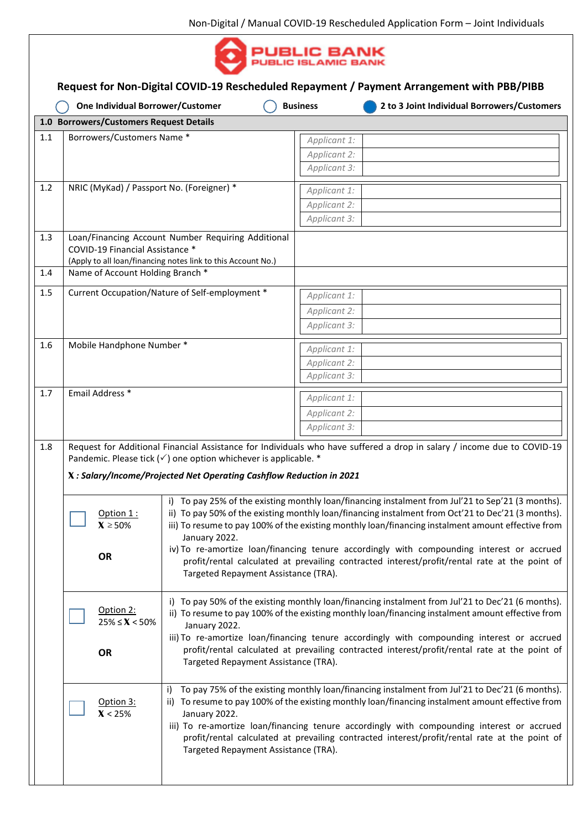

|       |                                                                            | One Individual Borrower/Customer                                                                                                                                                                                                                                                                                                                                                                                                                                  | <b>Business</b> | 2 to 3 Joint Individual Borrowers/Customers                                                                             |  |  |  |  |
|-------|----------------------------------------------------------------------------|-------------------------------------------------------------------------------------------------------------------------------------------------------------------------------------------------------------------------------------------------------------------------------------------------------------------------------------------------------------------------------------------------------------------------------------------------------------------|-----------------|-------------------------------------------------------------------------------------------------------------------------|--|--|--|--|
|       | 1.0 Borrowers/Customers Request Details                                    |                                                                                                                                                                                                                                                                                                                                                                                                                                                                   |                 |                                                                                                                         |  |  |  |  |
| $1.1$ | Borrowers/Customers Name*                                                  |                                                                                                                                                                                                                                                                                                                                                                                                                                                                   | Applicant 1:    |                                                                                                                         |  |  |  |  |
|       |                                                                            |                                                                                                                                                                                                                                                                                                                                                                                                                                                                   | Applicant 2:    |                                                                                                                         |  |  |  |  |
|       |                                                                            |                                                                                                                                                                                                                                                                                                                                                                                                                                                                   | Applicant 3:    |                                                                                                                         |  |  |  |  |
| 1.2   | NRIC (MyKad) / Passport No. (Foreigner) *                                  |                                                                                                                                                                                                                                                                                                                                                                                                                                                                   | Applicant 1:    |                                                                                                                         |  |  |  |  |
|       |                                                                            |                                                                                                                                                                                                                                                                                                                                                                                                                                                                   | Applicant 2:    |                                                                                                                         |  |  |  |  |
|       |                                                                            |                                                                                                                                                                                                                                                                                                                                                                                                                                                                   | Applicant 3:    |                                                                                                                         |  |  |  |  |
| 1.3   | COVID-19 Financial Assistance *                                            | Loan/Financing Account Number Requiring Additional                                                                                                                                                                                                                                                                                                                                                                                                                |                 |                                                                                                                         |  |  |  |  |
| 1.4   | Name of Account Holding Branch *                                           | (Apply to all loan/financing notes link to this Account No.)                                                                                                                                                                                                                                                                                                                                                                                                      |                 |                                                                                                                         |  |  |  |  |
|       |                                                                            |                                                                                                                                                                                                                                                                                                                                                                                                                                                                   |                 |                                                                                                                         |  |  |  |  |
| 1.5   | Current Occupation/Nature of Self-employment *                             |                                                                                                                                                                                                                                                                                                                                                                                                                                                                   | Applicant 1:    |                                                                                                                         |  |  |  |  |
|       |                                                                            |                                                                                                                                                                                                                                                                                                                                                                                                                                                                   | Applicant 2:    |                                                                                                                         |  |  |  |  |
|       |                                                                            |                                                                                                                                                                                                                                                                                                                                                                                                                                                                   | Applicant 3:    |                                                                                                                         |  |  |  |  |
| 1.6   | Mobile Handphone Number *                                                  |                                                                                                                                                                                                                                                                                                                                                                                                                                                                   | Applicant 1:    |                                                                                                                         |  |  |  |  |
|       |                                                                            |                                                                                                                                                                                                                                                                                                                                                                                                                                                                   | Applicant 2:    |                                                                                                                         |  |  |  |  |
|       |                                                                            |                                                                                                                                                                                                                                                                                                                                                                                                                                                                   | Applicant 3:    |                                                                                                                         |  |  |  |  |
| 1.7   | Email Address *                                                            |                                                                                                                                                                                                                                                                                                                                                                                                                                                                   | Applicant 1:    |                                                                                                                         |  |  |  |  |
|       |                                                                            |                                                                                                                                                                                                                                                                                                                                                                                                                                                                   | Applicant 2:    |                                                                                                                         |  |  |  |  |
|       |                                                                            |                                                                                                                                                                                                                                                                                                                                                                                                                                                                   | Applicant 3:    |                                                                                                                         |  |  |  |  |
|       |                                                                            |                                                                                                                                                                                                                                                                                                                                                                                                                                                                   |                 |                                                                                                                         |  |  |  |  |
| 1.8   |                                                                            |                                                                                                                                                                                                                                                                                                                                                                                                                                                                   |                 | Request for Additional Financial Assistance for Individuals who have suffered a drop in salary / income due to COVID-19 |  |  |  |  |
|       | Pandemic. Please tick $(\checkmark)$ one option whichever is applicable. * |                                                                                                                                                                                                                                                                                                                                                                                                                                                                   |                 |                                                                                                                         |  |  |  |  |
|       | X: Salary/Income/Projected Net Operating Cashflow Reduction in 2021        |                                                                                                                                                                                                                                                                                                                                                                                                                                                                   |                 |                                                                                                                         |  |  |  |  |
|       | $\Box$ Option 1 :<br>$X \ge 50\%$                                          | i) To pay 25% of the existing monthly loan/financing instalment from Jul'21 to Sep'21 (3 months).<br>ii) To pay 50% of the existing monthly loan/financing instalment from Oct'21 to Dec'21 (3 months).<br>iii) To resume to pay 100% of the existing monthly loan/financing instalment amount effective from<br>January 2022.                                                                                                                                    |                 |                                                                                                                         |  |  |  |  |
|       | <b>OR</b>                                                                  | iv) To re-amortize loan/financing tenure accordingly with compounding interest or accrued<br>profit/rental calculated at prevailing contracted interest/profit/rental rate at the point of<br>Targeted Repayment Assistance (TRA).                                                                                                                                                                                                                                |                 |                                                                                                                         |  |  |  |  |
|       | Option 2:<br>$25\% \le X < 50\%$                                           | i) To pay 50% of the existing monthly loan/financing instalment from Jul'21 to Dec'21 (6 months).<br>ii) To resume to pay 100% of the existing monthly loan/financing instalment amount effective from<br>January 2022.                                                                                                                                                                                                                                           |                 |                                                                                                                         |  |  |  |  |
|       | <b>OR</b>                                                                  | iii) To re-amortize loan/financing tenure accordingly with compounding interest or accrued<br>profit/rental calculated at prevailing contracted interest/profit/rental rate at the point of<br>Targeted Repayment Assistance (TRA).                                                                                                                                                                                                                               |                 |                                                                                                                         |  |  |  |  |
|       | Option 3:<br>X < 25%                                                       | i) To pay 75% of the existing monthly loan/financing instalment from Jul'21 to Dec'21 (6 months).<br>To resume to pay 100% of the existing monthly loan/financing instalment amount effective from<br>ii)<br>January 2022.<br>iii) To re-amortize loan/financing tenure accordingly with compounding interest or accrued<br>profit/rental calculated at prevailing contracted interest/profit/rental rate at the point of<br>Targeted Repayment Assistance (TRA). |                 |                                                                                                                         |  |  |  |  |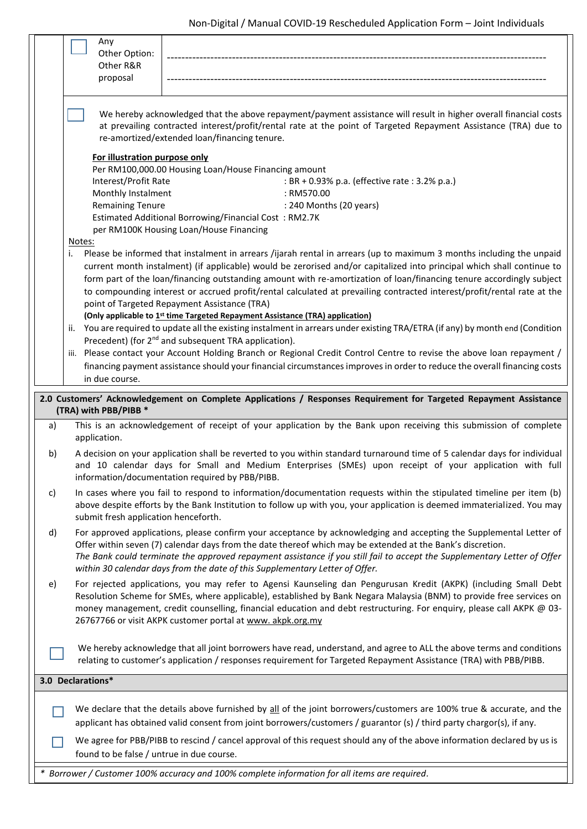|    | Any                                                                                                                                                                                                                                                                                                                                                                                                                                           |  |  |  |  |  |  |
|----|-----------------------------------------------------------------------------------------------------------------------------------------------------------------------------------------------------------------------------------------------------------------------------------------------------------------------------------------------------------------------------------------------------------------------------------------------|--|--|--|--|--|--|
|    | Other Option:<br>Other R&R                                                                                                                                                                                                                                                                                                                                                                                                                    |  |  |  |  |  |  |
|    | proposal                                                                                                                                                                                                                                                                                                                                                                                                                                      |  |  |  |  |  |  |
|    |                                                                                                                                                                                                                                                                                                                                                                                                                                               |  |  |  |  |  |  |
|    | We hereby acknowledged that the above repayment/payment assistance will result in higher overall financial costs<br>at prevailing contracted interest/profit/rental rate at the point of Targeted Repayment Assistance (TRA) due to<br>re-amortized/extended loan/financing tenure.                                                                                                                                                           |  |  |  |  |  |  |
|    | For illustration purpose only                                                                                                                                                                                                                                                                                                                                                                                                                 |  |  |  |  |  |  |
|    | Per RM100,000.00 Housing Loan/House Financing amount                                                                                                                                                                                                                                                                                                                                                                                          |  |  |  |  |  |  |
|    | Interest/Profit Rate<br>: BR + 0.93% p.a. (effective rate : 3.2% p.a.)                                                                                                                                                                                                                                                                                                                                                                        |  |  |  |  |  |  |
|    | Monthly Instalment<br>: RM570.00                                                                                                                                                                                                                                                                                                                                                                                                              |  |  |  |  |  |  |
|    | <b>Remaining Tenure</b><br>: 240 Months (20 years)                                                                                                                                                                                                                                                                                                                                                                                            |  |  |  |  |  |  |
|    | Estimated Additional Borrowing/Financial Cost: RM2.7K                                                                                                                                                                                                                                                                                                                                                                                         |  |  |  |  |  |  |
|    | per RM100K Housing Loan/House Financing<br>Notes:                                                                                                                                                                                                                                                                                                                                                                                             |  |  |  |  |  |  |
|    | Please be informed that instalment in arrears /ijarah rental in arrears (up to maximum 3 months including the unpaid<br>i.                                                                                                                                                                                                                                                                                                                    |  |  |  |  |  |  |
|    | current month instalment) (if applicable) would be zerorised and/or capitalized into principal which shall continue to                                                                                                                                                                                                                                                                                                                        |  |  |  |  |  |  |
|    | form part of the loan/financing outstanding amount with re-amortization of loan/financing tenure accordingly subject                                                                                                                                                                                                                                                                                                                          |  |  |  |  |  |  |
|    | to compounding interest or accrued profit/rental calculated at prevailing contracted interest/profit/rental rate at the                                                                                                                                                                                                                                                                                                                       |  |  |  |  |  |  |
|    | point of Targeted Repayment Assistance (TRA)                                                                                                                                                                                                                                                                                                                                                                                                  |  |  |  |  |  |  |
|    | (Only applicable to 1st time Targeted Repayment Assistance (TRA) application)                                                                                                                                                                                                                                                                                                                                                                 |  |  |  |  |  |  |
|    | You are required to update all the existing instalment in arrears under existing TRA/ETRA (if any) by month end (Condition<br>ii.                                                                                                                                                                                                                                                                                                             |  |  |  |  |  |  |
|    | Precedent) (for 2 <sup>nd</sup> and subsequent TRA application).                                                                                                                                                                                                                                                                                                                                                                              |  |  |  |  |  |  |
|    | Please contact your Account Holding Branch or Regional Credit Control Centre to revise the above loan repayment /<br>iii.<br>financing payment assistance should your financial circumstances improves in order to reduce the overall financing costs                                                                                                                                                                                         |  |  |  |  |  |  |
|    | in due course.                                                                                                                                                                                                                                                                                                                                                                                                                                |  |  |  |  |  |  |
|    |                                                                                                                                                                                                                                                                                                                                                                                                                                               |  |  |  |  |  |  |
|    | 2.0 Customers' Acknowledgement on Complete Applications / Responses Requirement for Targeted Repayment Assistance                                                                                                                                                                                                                                                                                                                             |  |  |  |  |  |  |
|    | (TRA) with PBB/PIBB *                                                                                                                                                                                                                                                                                                                                                                                                                         |  |  |  |  |  |  |
| a) | This is an acknowledgement of receipt of your application by the Bank upon receiving this submission of complete<br>application.                                                                                                                                                                                                                                                                                                              |  |  |  |  |  |  |
| b) | A decision on your application shall be reverted to you within standard turnaround time of 5 calendar days for individual<br>and 10 calendar days for Small and Medium Enterprises (SMEs) upon receipt of your application with full<br>information/documentation required by PBB/PIBB.                                                                                                                                                       |  |  |  |  |  |  |
| C) | In cases where you fail to respond to information/documentation requests within the stipulated timeline per item (b)<br>above despite efforts by the Bank Institution to follow up with you, your application is deemed immaterialized. You may<br>submit fresh application henceforth.                                                                                                                                                       |  |  |  |  |  |  |
| d) | For approved applications, please confirm your acceptance by acknowledging and accepting the Supplemental Letter of<br>Offer within seven (7) calendar days from the date thereof which may be extended at the Bank's discretion.<br>The Bank could terminate the approved repayment assistance if you still fail to accept the Supplementary Letter of Offer<br>within 30 calendar days from the date of this Supplementary Letter of Offer. |  |  |  |  |  |  |
| e) | For rejected applications, you may refer to Agensi Kaunseling dan Pengurusan Kredit (AKPK) (including Small Debt<br>Resolution Scheme for SMEs, where applicable), established by Bank Negara Malaysia (BNM) to provide free services on<br>money management, credit counselling, financial education and debt restructuring. For enquiry, please call AKPK @ 03-<br>26767766 or visit AKPK customer portal at www. akpk.org.my               |  |  |  |  |  |  |
|    | We hereby acknowledge that all joint borrowers have read, understand, and agree to ALL the above terms and conditions<br>relating to customer's application / responses requirement for Targeted Repayment Assistance (TRA) with PBB/PIBB.                                                                                                                                                                                                    |  |  |  |  |  |  |
|    | 3.0 Declarations*                                                                                                                                                                                                                                                                                                                                                                                                                             |  |  |  |  |  |  |
|    | We declare that the details above furnished by all of the joint borrowers/customers are 100% true & accurate, and the<br>applicant has obtained valid consent from joint borrowers/customers / guarantor (s) / third party chargor(s), if any.                                                                                                                                                                                                |  |  |  |  |  |  |
|    | We agree for PBB/PIBB to rescind / cancel approval of this request should any of the above information declared by us is                                                                                                                                                                                                                                                                                                                      |  |  |  |  |  |  |
|    | found to be false / untrue in due course.                                                                                                                                                                                                                                                                                                                                                                                                     |  |  |  |  |  |  |
|    |                                                                                                                                                                                                                                                                                                                                                                                                                                               |  |  |  |  |  |  |

*\* Borrower / Customer 100% accuracy and 100% complete information for all items are required.*